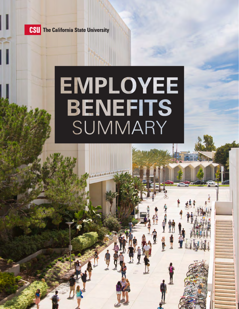

**CSU** The California State University

# EMPLOYEE **BENEFIT** ▄▖▄▄▄<sub>▄</sub>▗▗▗▝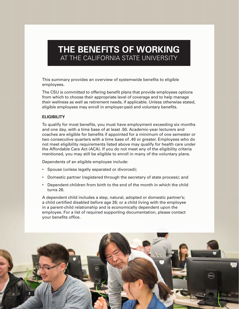## **THE BENEFITS OF WORKING**  AT THE CALIFORNIA STATE UNIVERSITY

This summary provides an overview of systemwide benefits to eligible employees.

The CSU is committed to offering benefit plans that provide employees options from which to choose their appropriate level of coverage and to help manage their wellness as well as retirement needs, if applicable. Unless otherwise stated, eligible employees may enroll in employer-paid and voluntary benefits.

#### **ELIGIBILITY**

To qualify for most benefits, you must have employment exceeding six months and one day, with a time base of at least .50. Academic-year lecturers and coaches are eligible for benefits if appointed for a minimum of one semester or two consecutive quarters with a time base of .40 or greater. Employees who do not meet eligibility requirements listed above may qualify for health care under the Affordable Care Act (ACA). If you do not meet any of the eligibility criteria mentioned, you may still be eligible to enroll in many of the voluntary plans.

Dependents of an eligible employee include:

- Spouse (unless legally separated or divorced);
- Domestic partner (registered through the secretary of state process); and
- Dependent children from birth to the end of the month in which the child turns 26.

A dependent child includes a step, natural, adopted or domestic partner's; a child certified disabled before age 26; or a child living with the employee in a parent-child relationship and is economically dependent upon the employee. For a list of required supporting documentation, please contact your benefits office.

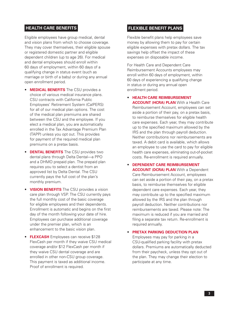#### **HEALTH CARE BENEFITS**

Eligible employees have group medical, dental and vision plans from which to choose coverage. They may cover themselves, their eligible spouse or registered domestic partner and eligible dependent children (up to age 26). For medical and dental employees should enroll within 60 days of employment, within 60 days of a qualifying change in status event (such as marriage or birth of a baby) or during any annual open enrollment period.

- **MEDICAL BENEFITS** The CSU provides a choice of various medical insurance plans. CSU contracts with California Public Employees' Retirement System (CalPERS) for all of our medical plan options. The cost of the medical plan premiums are shared between the CSU and the employee. If you elect a medical plan, you are automatically enrolled in the Tax Advantage Premium Plan (TAPP) unless you opt out. This provides for payment of the required medical plan premiums on a pretax basis.
- **DENTAL BENEFITS** The CSU provides two dental plans through Delta Dental—a PPO and a DHMO prepaid plan. The prepaid plan requires you to select a dentist from an approved list by Delta Dental. The CSU currently pays the full cost of the plan's monthly premium.
- **VISION BENEFITS** The CSU provides a vision care plan through VSP. The CSU currently pays the full monthly cost of the basic coverage for eligible employees and their dependents. Enrollment is automatic and begins on the first day of the month following your date of hire. Employees can purchase additional coverage under the premier plan, which is an enhancement to the basic vision plan.
- **FLEXCASH** Employees can receive \$128 FlexCash per month if they waive CSU medical coverage and/or \$12 FlexCash per month if they waive CSU dental coverage and are enrolled in other non-CSU group coverage. This payment is taxed as additional income. Proof of enrollment is required.

#### **FLEXIBLE BENEFIT PLANS**

Flexible benefit plans help employees save money by allowing them to pay for certain eligible expenses with pretax dollars. The tax savings help offset the impact of these expenses on disposable income.

For Health Care and Dependent Care Reimbursement Accounts employees may enroll within 60 days of employment, within 60 days of experiencing a qualifying change in status or during any annual open enrollment period.

- **HEALTH CARE REIMBURSEMENT ACCOUNT (HCRA) PLAN** With a Health Care Reimbursement Account, employees can set aside a portion of their pay, on a pretax basis, to reimburse themselves for eligible health care expenses. Each year, they may contribute up to the specified maximum allowed by the IRS and the plan through payroll deduction. Neither contributions nor reimbursements are taxed. A debit card is available, which allows an employee to use the card to pay for eligible health care expenses, eliminating out-of-pocket costs. Re-enrollment is required annually.
- **DEPENDENT CARE REIMBURSEMENT ACCOUNT (DCRA) PLAN** With a Dependent Care Reimbursement Account, employees can set aside a portion of their pay, on a pretax basis, to reimburse themselves for eligible dependent care expenses. Each year, they may contribute up to the specified maximum allowed by the IRS and the plan through payroll deduction. Neither contributions nor reimbursements are taxed. Please note: The maximum is reduced if you are married and filing a separate tax return. Re-enrollment is required annually.

## • **PRETAX PARKING DEDUCTION PLAN** Employees may pay for parking in a

CSU-qualified parking facility with pretax dollars. Premiums are automatically deducted from their paycheck, unless they opt out of the plan. They may change their election to participate at any time.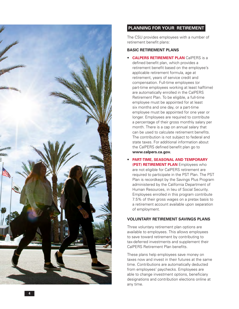

#### **PLANNING FOR YOUR RETIREMENT**

The CSU provides employees with a number of retirement benefit plans:

#### **BASIC RETIREMENT PLANS**

- **CALPERS RETIREMENT PLAN** CalPERS is a defined benefit plan, which provides a retirement benefit based on the employee's applicable retirement formula, age at retirement, years of service credit and compensation. Full-time employees (or part-time employees working at least halftime) are automatically enrolled in the CalPERS Retirement Plan. To be eligible, a full-time employee must be appointed for at least six months and one day, or a part-time employee must be appointed for one year or longer. Employees are required to contribute a percentage of their gross monthly salary per month. There is a cap on annual salary that can be used to calculate retirement benefits. The contribution is not subject to federal and state taxes. For additional information about the CalPERS defined benefit plan go to **[www.calpers.ca.gov](http://www.calpers.ca.gov) .**
- **PART-TIME, SEASONAL AND TEMPORARY (PST) RETIREMENT PLAN** Employees who are not eligible for CalPERS retirement are required to participate in the PST Plan. The PST Plan is recordkept by the Savings Plus Program administered by the California Department of Human Resources, in lieu of Social Security. Employees enrolled in this program contribute 7.5% of their gross wages on a pretax basis to a retirement account available upon separation of employment.

#### **VOLUNTARY RETIREMENT SAVINGS PLANS**

Three voluntary retirement plan options are available to employees. This allows employees to save toward retirement by contributing to tax-deferred investments and supplement their CalPERS Retirement Plan benefits.

These plans help employees save money on taxes now and invest in their futures at the same time. Contributions are automatically deducted from employees' paychecks. Employees are able to change investment options, beneficiary designations and contribution elections online at any time.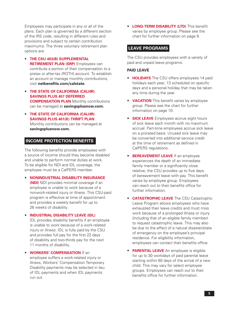Employees may participate in any or all of the plans. Each plan is governed by a different section of the IRS code, resulting in different rules and provisions and subject to certain contribution maximums. The three voluntary retirement plan options are:

- **THE CSU 403(B) SUPPLEMENTAL RETIREMENT PLAN (SRP)** Employees can contribute a portion of their compensation to a pretax or after-tax (ROTH) account. To establish an account or manage monthly contributions, visit **[netbenefits.com/calstate.](http://netbenefits.com/calstate)**
- **THE STATE OF CALIFORNIA (CALHR) SAVINGS PLUS 457 DEFERRED COMPENSATION PLAN** Monthly contributions can be managed at **[savingsplusnow.com.](http://savingsplusnow.com)**
- **THE STATE OF CALIFORNIA (CALHR) SAVINGS PLUS 401(K) THRIFT PLAN** Monthly contributions can be managed at **[savingsplusnow.com](http://savingsplusnow.com).**

#### **INCOME PROTECTION BENEFITS**

The following benefits provide employees with a source of income should they become disabled and unable to perform normal duties at work. To be eligible for NDI and IDL coverage, the employee must be a CalPERS member.

• **NONINDUSTRIAL DISABILITY INSURANCE (NDI)** NDI provides minimal coverage if an employee is unable to work because of a nonwork-related injury or illness. This CSU-paid program is effective at time of appointment and provides a weekly benefit for up to 26 weeks of disability.

#### • **INDUSTRIAL DISABILITY LEAVE (IDL)**

IDL provides disability benefits if an employee is unable to work because of a work-related injury or illness. IDL is fully paid by the CSU and provides full pay for the first 22 days of disability and two-thirds pay for the next 11 months of disability.

• **WORKERS' COMPENSATION** If an employee suffers a work-related injury or illness, Workers' Compensation Temporary Disability payments may be selected in lieu of IDL payments and when IDL payments run out.

• **LONG-TERM DISABILITY (LTD)** This benefit varies by employee group. Please see the chart for further information on page 9.

#### **LEAVE PROGRAMS**

The CSU provides employees with a variety of paid and unpaid leave programs.

#### **PAID LEAVE**

- **HOLIDAYS** The CSU offers employees 14 paid holidays each year; 13 scheduled on specific days and a personal holiday that may be taken any time during the year.
- **VACATION** This benefit varies by employee group. Please see the chart for further information on page 10.
- **SICK LEAVE** Employees accrue eight hours of sick leave each month with no maximum accrual. Part-time employees accrue sick leave on a prorated basis. Unused sick leave may be converted into additional service credit at the time of retirement as defined in CalPERS regulations.
- **BEREAVEMENT LEAVE** If an employee experiences the death of an immediate family member or a significantly close relative, the CSU provides up to five days of bereavement leave with pay. This benefit varies by employee group. Employees can reach out to their benefits office for further information.
- **CATASTROPHIC LEAVE** The CSU Catastrophic Leave Program allows employees who have exhausted their leave credits and must miss work because of a prolonged illness or injury (including that of an eligible family member) to request catastrophic leave. This may also be due to the effect of a natural disaster/state of emergency on the employee's principal residence. For eligibility information, employees can contact their benefits office.
- **PARENTAL LEAVE** An employee is eligible for up to 30 workdays of paid parental leave starting within 60 days of the arrival of a new child. This may vary for select employee groups. Employees can reach out to their benefits office for further information.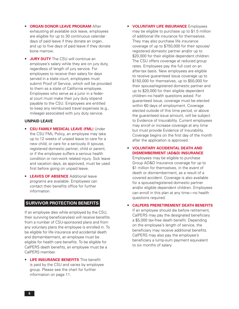- **ORGAN DONOR LEAVE PROGRAM** After exhausting all available sick leave, employees are eligible for up to 30 continuous calendar days of paid leave if they donate an organ, and up to five days of paid leave if they donate bone marrow.
- **JURY DUTY** The CSU will continue an employee's salary while they are on jury duty, regardless of length of jury service. For employees to receive their salary for days served in a state court, employees must submit Proof of Service, which will be provided to them as a state of California employee. Employees who serve as a juror in a federal court must make their jury duty stipend payable to the CSU. Employees are entitled to keep any reimbursed travel expenses (e.g., mileage) associated with jury duty service.

#### **UNPAID LEAVE**

- **CSU FAMILY MEDICAL LEAVE (FML)** Under the CSU FML Policy, an employee may take up to 12 weeks of unpaid leave to care for a new child, or care for a seriously ill spouse, registered domestic partner, child or parent, or if the employee suffers a serious health condition or non-work related injury. Sick leave and vacation days, as approved, must be used first before going on unpaid leave.
- **LEAVES OF ABSENCE** Additional leave programs are available. Employees can contact their benefits office for further information.

#### **SURVIVOR PROTECTION BENEFITS**

If an employee dies while employed by the CSU, their surviving beneficiary(ies) will receive benefits from a number of CSU-sponsored plans and from any voluntary plans the employee is enrolled in. To be eligible for life insurance and accidental death and dismemberment, an employee must be eligible for health care benefits. To be eligible for CalPERS death benefits, an employee must be a CalPERS member.

• **LIFE INSURANCE BENEFITS** This benefit is paid by the CSU and varies by employee group. Please see the chart for further information on page 11.

• **VOLUNTARY LIFE INSURANCE** Employees may be eligible to purchase up to \$1.5 million of additional life insurance for themselves. They may also purchase life insurance coverage of up to \$750,000 for their spouse/ registered domestic partner and/or up to \$20,000 for their eligible dependent children. The CSU offers coverage at reduced group rates. Employees pay the full cost on an after-tax basis. New employees are eligible to receive guaranteed issue coverage up to \$150,000 for themselves, up to \$50,000 for their spouse/registered domestic partner and up to \$20,000 for their eligible dependent children–no health questions asked. For guaranteed issue, coverage must be elected within 60 days of employment. Coverage elected outside of this time period, or above the guaranteed issue amount, will be subject to Evidence of Insurability. Current employees may enroll or increase coverage at any time but must provide Evidence of Insurability. Coverage begins on the first day of the month after the application is approved.

#### • **VOLUNTARY ACCIDENTAL DEATH AND DISMEMBERMENT (AD&D) INSURANCE**

Employees may be eligible to purchase Group AD&D Insurance coverage for up to \$1 million for themselves, in the event of death or dismemberment, as a result of a covered accident. Coverage is also available for a spouse/registered domestic partner and/or eligible dependent children. Employees can enroll in this plan at any time—no health questions required.

#### • **CALPERS PRERETIREMENT DEATH BENEFITS**

If an employee should die before retirement, CalPERS may pay the designated beneficiary a \$5,000 tax-free death benefit. Depending on the employee's length of service, the beneficiary may receive additional benefits. CalPERS may also pay the employee's beneficiary a lump-sum payment equivalent to six months of salary.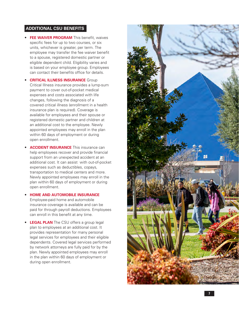#### **ADDITIONAL CSU BENEFITS**

- **FEE WAIVER PROGRAM** This benefit, waives specific fees for up to two courses, or six units, whichever is greater, per term. The employee may transfer the fee waiver benefit to a spouse, registered domestic partner or eligible dependent child. Eligibility varies and is based on your employee group. Employees can contact their benefits office for details.
- **CRITICAL ILLNESS INSURANCE** Group Critical Illness insurance provides a lump-sum payment to cover out-of-pocket medical expenses and costs associated with life changes, following the diagnosis of a covered critical illness (enrollment in a health insurance plan is required). Coverage is available for employees and their spouse or registered domestic partner and children at an additional cost to the employee. Newly appointed employees may enroll in the plan within 60 days of employment or during open enrollment.
- **ACCIDENT INSURANCE** This insurance can help employees recover and provide financial support from an unexpected accident at an additional cost. It can assist with out-of-pocket expenses such as deductibles, copays, transportation to medical centers and more. Newly appointed employees may enroll in the plan within 60 days of employment or during open enrollment.

#### • **HOME AND AUTOMOBILE INSURANCE**  Employee-paid home and automobile insurance coverage is available and can be paid for through payroll deductions. Employees can enroll in this benefit at any time.

• **LEGAL PLAN** The CSU offers a group legal plan to employees at an additional cost. It provides representation for many personal legal services for employees and their eligible dependents. Covered legal services performed by network attorneys are fully paid for by the plan. Newly appointed employees may enroll in the plan within 60 days of employment or during open enrollment.

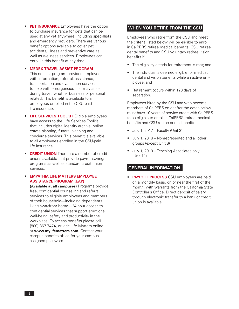**• PET INSURANCE** Employees have the option to purchase insurance for pets that can be used at any vet anywhere, including specialists and emergency providers. There are various benefit options available to cover pet accidents, illness and preventive care as well as wellness services. Employees can enroll in this benefit at any time.

#### • **MEDEX TRAVEL ASSIST PROGRAM**

This no-cost program provides employees with information, referral, assistance, transportation and evacuation services to help with emergencies that may arise during travel, whether business or personal related. This benefit is available to all employees enrolled in the CSU-paid life insurance.

- **LIFE SERVICES TOOLKIT** Eligible employees have access to the Life Services Toolkit that includes digital identity archive, online estate planning, funeral planning and concierge services. This benefit is available to all employees enrolled in the CSU-paid life insurance.
- **CREDIT UNION** There are a number of credit unions available that provide payroll savings programs as well as standard credit union services.

#### • **EMPATHIA LIFE MATTERS EMPLOYEE ASSISTANCE PROGRAM (EAP)**

**(Available at all campuses)** Programs provide free, confidential counseling and referral services to eligible employees and members of their household—including dependents living awayfrom home—24-hour access to confidential services that support emotional well-being, safety and productivity in the workplace. To access benefits please call (800) 367-7474, or visit Life Matters online at **[www.mylifematters](http://www.mylifematters.com)**.**com.** Contact your campus benefits office for your campusassigned password.

#### **WHEN YOU RETIRE FROM THE CSU**

Employees who retire from the CSU and meet the criteria listed below will be eligible to enroll in CalPERS retiree medical benefits, CSU retiree dental benefits and CSU voluntary retiree vision benefits if:

- The eligibility criteria for retirement is met; and
- The individual is deemed eligible for medical, dental and vision benefits while an active employee; and
- Retirement occurs within 120 days of separation.

Employees hired by the CSU and who become members of CalPERS on or after the dates below, must have 10 years of service credit with CalPERS to be eligible to enroll in CalPERS retiree medical benefits and CSU retiree dental benefits.

- $\bullet$  July 1, 2017 Faculty (Unit 3)
- July 1, 2018 Nonrepresented and all other groups (except Unit 8)
- July 1, 2019 Teaching Associates only (Unit 11)

#### **GENERAL INFORMATION**

• **PAYROLL PROCESS** CSU employees are paid on a monthly basis, on or near the first of the month, with warrants from the California State Controller's Office. Direct deposit of salary through electronic transfer to a bank or credit union is available.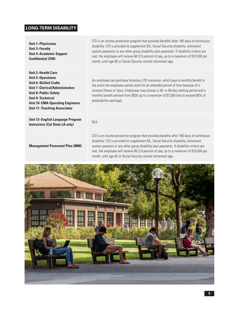## **LONG-TERM DISABILITY**

| <b>Unit 1-Physicians</b><br><b>Unit 3-Faculty</b><br><b>Unit 4-Academic Support</b><br><b>Confidential (C99)</b>                                                                                                                                                         | LTD is an income-protection program that provides benefits after 180 days of continuous<br>disability. LTD is provided to supplement IDL, Social Security disability, retirement<br>system payments or any other group disability plan payments. If disability criteria are<br>met, the employee will receive 66 2/3 percent of pay, up to a maximum of \$10,000 per<br>month, until age 65 or Social Security normal retirement age. |
|--------------------------------------------------------------------------------------------------------------------------------------------------------------------------------------------------------------------------------------------------------------------------|---------------------------------------------------------------------------------------------------------------------------------------------------------------------------------------------------------------------------------------------------------------------------------------------------------------------------------------------------------------------------------------------------------------------------------------|
| <b>Unit 2-Health Care</b><br><b>Unit 5-Operations</b><br><b>Unit 6-Skilled Crafts</b><br><b>Unit 7-Clerical/Administrative</b><br><b>Unit 8-Public Safety</b><br><b>Unit 9-Technical</b><br><b>Unit 10-CMA Operating Engineers</b><br><b>Unit 11-Teaching Associates</b> | An employee can purchase Voluntary LTD insurance, which pays a monthly benefit in<br>the event the employee cannot work for an extended period of time because of a<br>covered illness or injury. Employees may choose a 30- or 90-day waiting period and a<br>monthly benefit amount from \$500 up to a maximum of \$7,500 (not to exceed 60% of<br>predisability earnings).                                                         |
| <b>Unit 13-English Language Program</b><br><b>Instructors (Cal State LA only)</b>                                                                                                                                                                                        | N/A                                                                                                                                                                                                                                                                                                                                                                                                                                   |
| <b>Management Personnel Plan (M80)</b>                                                                                                                                                                                                                                   | LTD is an income-protection program that provides benefits after 180 days of continuous<br>disability. LTD is provided to supplement IDL, Social Security disability, retirement<br>system payment or any other group disability plan payments. If disability criteria are<br>met, the employee will receive 66 2/3 percent of pay, up to a maximum of \$18,000 per<br>month, until age 65 or Social Security normal retirement age.  |

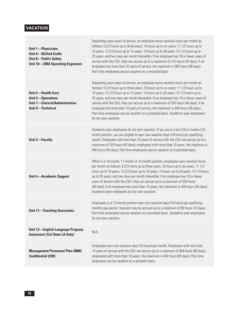## **VACATION**

| <b>Unit 1-Physicians</b><br><b>Unit 6-Skilled Crafts</b><br><b>Unit 8-Public Safety</b><br><b>Unit 10-CMA Operating Engineers</b> | Depending upon years of service, an employee earns vacation hours per month as<br>follows: 6 2/3 hours up to three years; 10 hours up to six years; 11 1/3 hours up to<br>10 years; 12 2/3 hours up to 15 years; 14 hours up to 20 years; 15 1/3 hours up to<br>25 years; and two days per month thereafter. If an employee has 10 or fewer years of<br>service with the CSU, they can accrue up to a maximum of 272 hours (34 days); if an<br>employee has more than 10 years of service, the maximum is 384 hours (48 days).<br>Part-time employees accrue vacation on a prorated basis.                                                  |
|-----------------------------------------------------------------------------------------------------------------------------------|---------------------------------------------------------------------------------------------------------------------------------------------------------------------------------------------------------------------------------------------------------------------------------------------------------------------------------------------------------------------------------------------------------------------------------------------------------------------------------------------------------------------------------------------------------------------------------------------------------------------------------------------|
| <b>Unit 2-Health Care</b><br><b>Unit 5-Operations</b><br><b>Unit 7-Clerical/Administrative</b><br><b>Unit 9-Technical</b>         | Depending upon years of service, an employee earns vacation hours per month as<br>follows: 6 2/3 hours up to three years; 10 hours up to six years; 11 1/3 hours up to<br>10 years; 12 2/3 hours up to 15 years; 14 hours up to 20 years; 15 1/3 hours up to<br>25 years; and two days per month thereafter. If an employee has 10 or fewer years of<br>service with the CSU, they can accrue up to a maximum of 320 hours (40 days); if an<br>employee has more than 10 years of service, the maximum is 440 hours (55 days).<br>Part-time employees accrue vacation on a prorated basis. Academic-year employees<br>do not earn vacation. |
| <b>Unit 3-Faculty</b>                                                                                                             | Academic year employees do not earn vacation. If you are in a ten (10) or twelve (12)<br>month position, you are eligible to earn two vacation days (16 hours) per qualifying<br>month. Employees with less than 10 years of service with the CSU can accrue up to a<br>maximum of 320 hours (40 days); employees with more than 10 years, the maximum is<br>440 hours (55 days). Part-time employees accrue vacation on a prorated basis.                                                                                                                                                                                                  |
| <b>Unit 4-Academic Support</b>                                                                                                    | While in a 10-month, 11-month or 12-month position, employees earn vacation hours<br>per month as follows: 6 2/3 hours up to three years; 10 hours up to six years; 11 1/3<br>hours up to 10 years; 12 2/3 hours up to 15 years; 14 hours up to 20 years; 15 1/3 hours<br>up to 25 years; and two days per month thereafter. If an employee has 10 or fewer<br>years of service with the CSU, they can accrue up to a maximum of 320 hours<br>(40 days); if an employee has more than 10 years, the maximum is 440 hours (55 days).<br>Academic-year employees do not earn vacation.                                                        |
| <b>Unit 11-Teaching Associates</b>                                                                                                | Employees in a 12-month position earn two vacation days (16 hours) per qualifying<br>monthly pay period. Vacation may be accrued up to a maximum of 80 hours (10 days).<br>Part-time employees accrue vacation on a prorated basis. Academic-year employees<br>do not earn vacation.                                                                                                                                                                                                                                                                                                                                                        |
| <b>Unit 13-English Language Program</b><br><b>Instructors (Cal State LA Only)</b>                                                 | N/A                                                                                                                                                                                                                                                                                                                                                                                                                                                                                                                                                                                                                                         |
| <b>Management Personnel Plan (M80)</b><br><b>Confidential (C99)</b>                                                               | Employees earn two vacation days (16 hours) per month. Employees with less than<br>10 years of service with the CSU can accrue up to a maximum of 384 hours (48 days);<br>employees with more than 10 years, the maximum is 440 hours (55 days). Part-time<br>employees accrue vacation on a prorated basis.                                                                                                                                                                                                                                                                                                                                |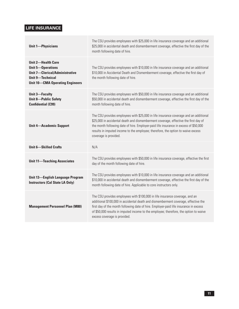## **LIFE INSURANCE**

| <b>Unit 1-Physicians</b>                                                                                                                                            | The CSU provides employees with \$25,000 in life insurance coverage and an additional<br>\$25,000 in accidental death and dismemberment coverage, effective the first day of the<br>month following date of hire.                                                                                                                                                                    |
|---------------------------------------------------------------------------------------------------------------------------------------------------------------------|--------------------------------------------------------------------------------------------------------------------------------------------------------------------------------------------------------------------------------------------------------------------------------------------------------------------------------------------------------------------------------------|
| <b>Unit 2-Health Care</b><br><b>Unit 5-Operations</b><br><b>Unit 7-Clerical/Administrative</b><br><b>Unit 9-Technical</b><br><b>Unit 10-CMA Operating Engineers</b> | The CSU provides employees with \$10,000 in life insurance coverage and an additional<br>\$10,000 in Accidental Death and Dismemberment coverage, effective the first day of<br>the month following date of hire.                                                                                                                                                                    |
| <b>Unit 3-Faculty</b><br><b>Unit 8-Public Safety</b><br><b>Confidential (C99)</b>                                                                                   | The CSU provides employees with \$50,000 in life insurance coverage and an additional<br>\$50,000 in accidental death and dismemberment coverage, effective the first day of the<br>month following date of hire.                                                                                                                                                                    |
| <b>Unit 4-Academic Support</b>                                                                                                                                      | The CSU provides employees with \$25,000 in life insurance coverage and an additional<br>\$25,000 in accidental death and dismemberment coverage, effective the first day of<br>the month following date of hire. Employer-paid life insurance in excess of \$50,000<br>results in imputed income to the employee; therefore, the option to waive excess<br>coverage is provided.    |
| <b>Unit 6-Skilled Crafts</b>                                                                                                                                        | N/A                                                                                                                                                                                                                                                                                                                                                                                  |
| <b>Unit 11-Teaching Associates</b>                                                                                                                                  | The CSU provides employees with \$50,000 in life insurance coverage, effective the first<br>day of the month following date of hire.                                                                                                                                                                                                                                                 |
| <b>Unit 13-English Language Program</b><br><b>Instructors (Cal State LA Only)</b>                                                                                   | The CSU provides employees with \$10,000 in life insurance coverage and an additional<br>\$10,000 in accidental death and dismemberment coverage, effective the first day of the<br>month following date of hire. Applicable to core instructors only.                                                                                                                               |
| <b>Management Personnel Plan (M80)</b>                                                                                                                              | The CSU provides employees with \$100,000 in life insurance coverage, and an<br>additional \$100,000 in accidental death and dismemberment coverage, effective the<br>first day of the month following date of hire. Employer-paid life insurance in excess<br>of \$50,000 results in imputed income to the employee; therefore, the option to waive<br>excess coverage is provided. |